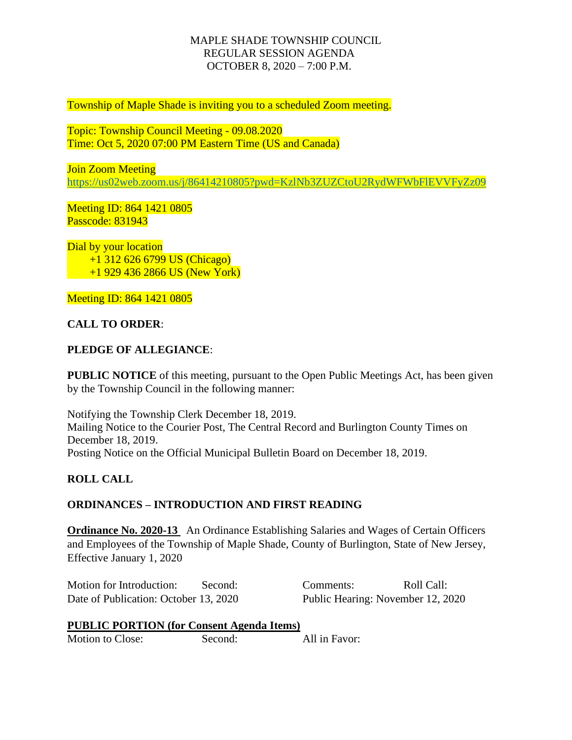# MAPLE SHADE TOWNSHIP COUNCIL REGULAR SESSION AGENDA OCTOBER 8, 2020 – 7:00 P.M.

Township of Maple Shade is inviting you to a scheduled Zoom meeting.

Topic: Township Council Meeting - 09.08.2020 Time: Oct 5, 2020 07:00 PM Eastern Time (US and Canada)

Join Zoom Meeting <https://us02web.zoom.us/j/86414210805?pwd=KzlNb3ZUZCtoU2RydWFWbFlEVVFyZz09>

Meeting ID: 864 1421 0805 Passcode: 831943

Dial by your location +1 312 626 6799 US (Chicago) +1 929 436 2866 US (New York)

Meeting ID: 864 1421 0805

# **CALL TO ORDER**:

#### **PLEDGE OF ALLEGIANCE**:

**PUBLIC NOTICE** of this meeting, pursuant to the Open Public Meetings Act, has been given by the Township Council in the following manner:

Notifying the Township Clerk December 18, 2019. Mailing Notice to the Courier Post, The Central Record and Burlington County Times on December 18, 2019. Posting Notice on the Official Municipal Bulletin Board on December 18, 2019.

#### **ROLL CALL**

#### **ORDINANCES – INTRODUCTION AND FIRST READING**

**Ordinance No. 2020-13** An Ordinance Establishing Salaries and Wages of Certain Officers and Employees of the Township of Maple Shade, County of Burlington, State of New Jersey, Effective January 1, 2020

Motion for Introduction: Second: Comments: Roll Call: Date of Publication: October 13, 2020 Public Hearing: November 12, 2020

#### **PUBLIC PORTION (for Consent Agenda Items)**

Motion to Close: Second: All in Favor: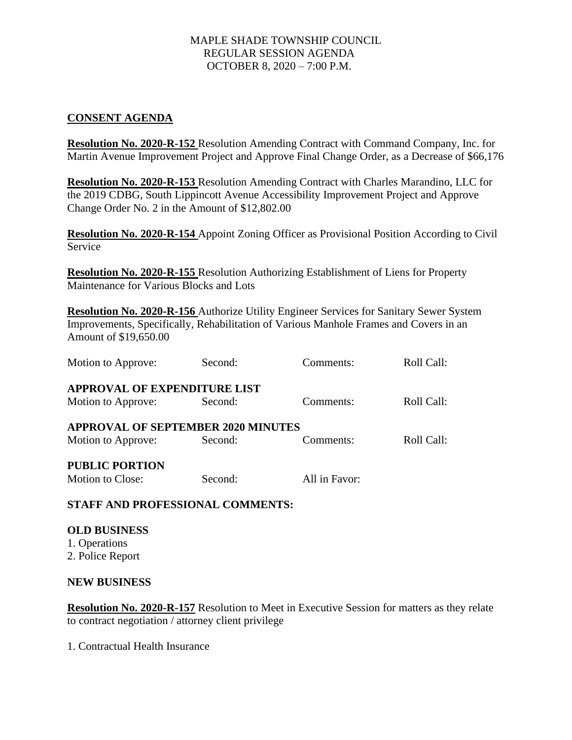# MAPLE SHADE TOWNSHIP COUNCIL REGULAR SESSION AGENDA OCTOBER 8, 2020 – 7:00 P.M.

## **CONSENT AGENDA**

**Resolution No. 2020-R-152** Resolution Amending Contract with Command Company, Inc. for Martin Avenue Improvement Project and Approve Final Change Order, as a Decrease of \$66,176

**Resolution No. 2020-R-153** Resolution Amending Contract with Charles Marandino, LLC for the 2019 CDBG, South Lippincott Avenue Accessibility Improvement Project and Approve Change Order No. 2 in the Amount of \$12,802.00

**Resolution No. 2020-R-154** Appoint Zoning Officer as Provisional Position According to Civil Service

**Resolution No. 2020-R-155** Resolution Authorizing Establishment of Liens for Property Maintenance for Various Blocks and Lots

**Resolution No. 2020-R-156** Authorize Utility Engineer Services for Sanitary Sewer System Improvements, Specifically, Rehabilitation of Various Manhole Frames and Covers in an Amount of \$19,650.00

| Motion to Approve:                        | Second: | Comments:     | Roll Call: |
|-------------------------------------------|---------|---------------|------------|
| <b>APPROVAL OF EXPENDITURE LIST</b>       |         |               |            |
| Motion to Approve:                        | Second: | Comments:     | Roll Call: |
| <b>APPROVAL OF SEPTEMBER 2020 MINUTES</b> |         |               |            |
| Motion to Approve:                        | Second: | Comments:     | Roll Call: |
| <b>PUBLIC PORTION</b>                     |         |               |            |
| Motion to Close:                          | Second: | All in Favor: |            |

**STAFF AND PROFESSIONAL COMMENTS:** 

# **OLD BUSINESS**  1. Operations

2. Police Report

# **NEW BUSINESS**

**Resolution No. 2020-R-157** Resolution to Meet in Executive Session for matters as they relate to contract negotiation / attorney client privilege

1. Contractual Health Insurance